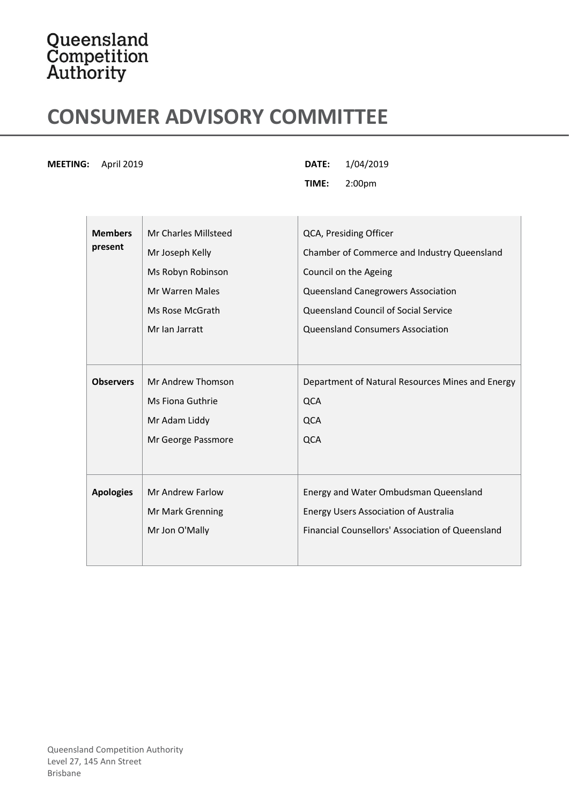## Queensland<br>Competition<br>Authority

## **CONSUMER ADVISORY COMMITTEE**

**MEETING:** April 2019 **DATE:** 1/04/2019

**TIME:** 2:00pm

| <b>Members</b>   | Mr Charles Millsteed | QCA, Presiding Officer                           |
|------------------|----------------------|--------------------------------------------------|
| present          | Mr Joseph Kelly      | Chamber of Commerce and Industry Queensland      |
|                  | Ms Robyn Robinson    | Council on the Ageing                            |
|                  | Mr Warren Males      | Queensland Canegrowers Association               |
|                  | Ms Rose McGrath      | Queensland Council of Social Service             |
|                  | Mr Ian Jarratt       | <b>Queensland Consumers Association</b>          |
|                  |                      |                                                  |
| <b>Observers</b> | Mr Andrew Thomson    | Department of Natural Resources Mines and Energy |
|                  | Ms Fiona Guthrie     | <b>QCA</b>                                       |
|                  | Mr Adam Liddy        | <b>QCA</b>                                       |
|                  | Mr George Passmore   | <b>QCA</b>                                       |
|                  |                      |                                                  |
| <b>Apologies</b> | Mr Andrew Farlow     | Energy and Water Ombudsman Queensland            |
|                  | Mr Mark Grenning     | <b>Energy Users Association of Australia</b>     |
|                  | Mr Jon O'Mally       | Financial Counsellors' Association of Queensland |
|                  |                      |                                                  |
|                  |                      |                                                  |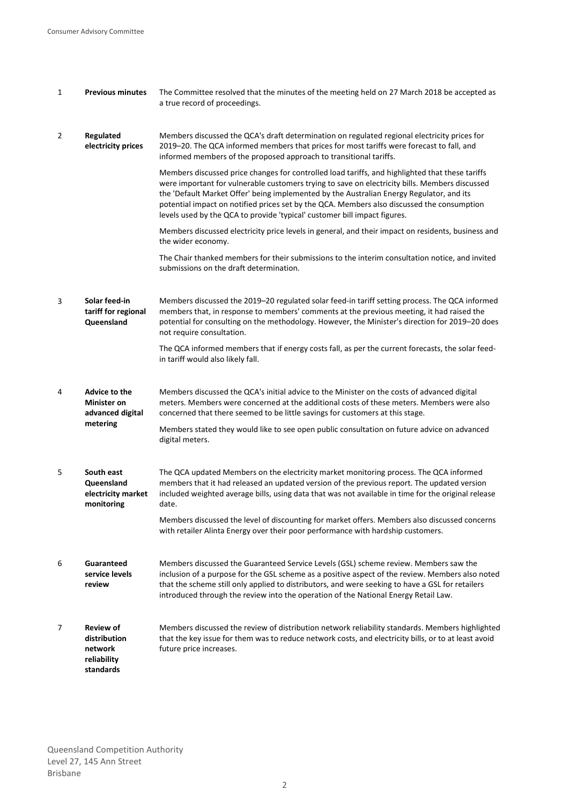| $\mathbf{1}$ | <b>Previous minutes</b>                                                 | The Committee resolved that the minutes of the meeting held on 27 March 2018 be accepted as<br>a true record of proceedings.                                                                                                                                                                                                                                                                                                                                             |
|--------------|-------------------------------------------------------------------------|--------------------------------------------------------------------------------------------------------------------------------------------------------------------------------------------------------------------------------------------------------------------------------------------------------------------------------------------------------------------------------------------------------------------------------------------------------------------------|
| 2            | Regulated<br>electricity prices                                         | Members discussed the QCA's draft determination on regulated regional electricity prices for<br>2019-20. The QCA informed members that prices for most tariffs were forecast to fall, and<br>informed members of the proposed approach to transitional tariffs.                                                                                                                                                                                                          |
|              |                                                                         | Members discussed price changes for controlled load tariffs, and highlighted that these tariffs<br>were important for vulnerable customers trying to save on electricity bills. Members discussed<br>the 'Default Market Offer' being implemented by the Australian Energy Regulator, and its<br>potential impact on notified prices set by the QCA. Members also discussed the consumption<br>levels used by the QCA to provide 'typical' customer bill impact figures. |
|              |                                                                         | Members discussed electricity price levels in general, and their impact on residents, business and<br>the wider economy.                                                                                                                                                                                                                                                                                                                                                 |
|              |                                                                         | The Chair thanked members for their submissions to the interim consultation notice, and invited<br>submissions on the draft determination.                                                                                                                                                                                                                                                                                                                               |
| 3            | Solar feed-in<br>tariff for regional<br>Queensland                      | Members discussed the 2019-20 regulated solar feed-in tariff setting process. The QCA informed<br>members that, in response to members' comments at the previous meeting, it had raised the<br>potential for consulting on the methodology. However, the Minister's direction for 2019-20 does<br>not require consultation.                                                                                                                                              |
|              |                                                                         | The QCA informed members that if energy costs fall, as per the current forecasts, the solar feed-<br>in tariff would also likely fall.                                                                                                                                                                                                                                                                                                                                   |
| 4            | Advice to the<br><b>Minister on</b><br>advanced digital<br>metering     | Members discussed the QCA's initial advice to the Minister on the costs of advanced digital<br>meters. Members were concerned at the additional costs of these meters. Members were also<br>concerned that there seemed to be little savings for customers at this stage.                                                                                                                                                                                                |
|              |                                                                         | Members stated they would like to see open public consultation on future advice on advanced<br>digital meters.                                                                                                                                                                                                                                                                                                                                                           |
| 5            | South east<br>Queensland<br>electricity market<br>monitoring            | The QCA updated Members on the electricity market monitoring process. The QCA informed<br>members that it had released an updated version of the previous report. The updated version<br>included weighted average bills, using data that was not available in time for the original release<br>date.                                                                                                                                                                    |
|              |                                                                         | Members discussed the level of discounting for market offers. Members also discussed concerns<br>with retailer Alinta Energy over their poor performance with hardship customers.                                                                                                                                                                                                                                                                                        |
| 6            | Guaranteed<br>service levels<br>review                                  | Members discussed the Guaranteed Service Levels (GSL) scheme review. Members saw the<br>inclusion of a purpose for the GSL scheme as a positive aspect of the review. Members also noted<br>that the scheme still only applied to distributors, and were seeking to have a GSL for retailers<br>introduced through the review into the operation of the National Energy Retail Law.                                                                                      |
| 7            | <b>Review of</b><br>distribution<br>network<br>reliability<br>standards | Members discussed the review of distribution network reliability standards. Members highlighted<br>that the key issue for them was to reduce network costs, and electricity bills, or to at least avoid<br>future price increases.                                                                                                                                                                                                                                       |